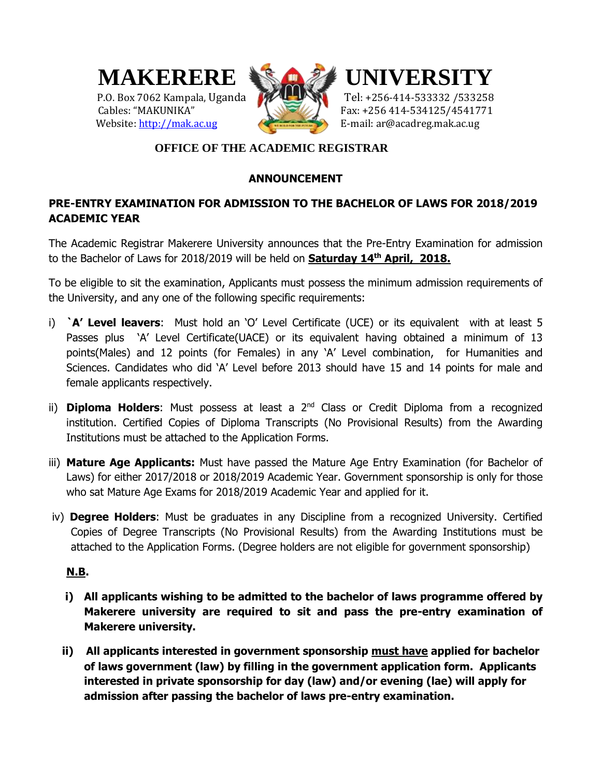



# P.O. Box 7062 Kampala, Uganda Tel: +256-414-533332 /533258 Cables: "MAKUNIKA" Fax: +256 414-534125/4541771

# **OFFICE OF THE ACADEMIC REGISTRAR**

# **ANNOUNCEMENT**

# **PRE-ENTRY EXAMINATION FOR ADMISSION TO THE BACHELOR OF LAWS FOR 2018/2019 ACADEMIC YEAR**

The Academic Registrar Makerere University announces that the Pre-Entry Examination for admission to the Bachelor of Laws for 2018/2019 will be held on **Saturday 14th April, 2018.**

To be eligible to sit the examination, Applicants must possess the minimum admission requirements of the University, and any one of the following specific requirements:

- i) **`A' Level leavers**: Must hold an 'O' Level Certificate (UCE) or its equivalent with at least 5 Passes plus `A' Level Certificate(UACE) or its equivalent having obtained a minimum of 13 points(Males) and 12 points (for Females) in any 'A' Level combination, for Humanities and Sciences. Candidates who did 'A' Level before 2013 should have 15 and 14 points for male and female applicants respectively.
- ii) **Diploma Holders**: Must possess at least a 2<sup>nd</sup> Class or Credit Diploma from a recognized institution. Certified Copies of Diploma Transcripts (No Provisional Results) from the Awarding Institutions must be attached to the Application Forms.
- iii) **Mature Age Applicants:** Must have passed the Mature Age Entry Examination (for Bachelor of Laws) for either 2017/2018 or 2018/2019 Academic Year. Government sponsorship is only for those who sat Mature Age Exams for 2018/2019 Academic Year and applied for it.
- iv) **Degree Holders**: Must be graduates in any Discipline from a recognized University. Certified Copies of Degree Transcripts (No Provisional Results) from the Awarding Institutions must be attached to the Application Forms. (Degree holders are not eligible for government sponsorship)

# **N.B.**

- **i) All applicants wishing to be admitted to the bachelor of laws programme offered by Makerere university are required to sit and pass the pre-entry examination of Makerere university.**
- **ii) All applicants interested in government sponsorship must have applied for bachelor of laws government (law) by filling in the government application form. Applicants interested in private sponsorship for day (law) and/or evening (lae) will apply for admission after passing the bachelor of laws pre-entry examination.**